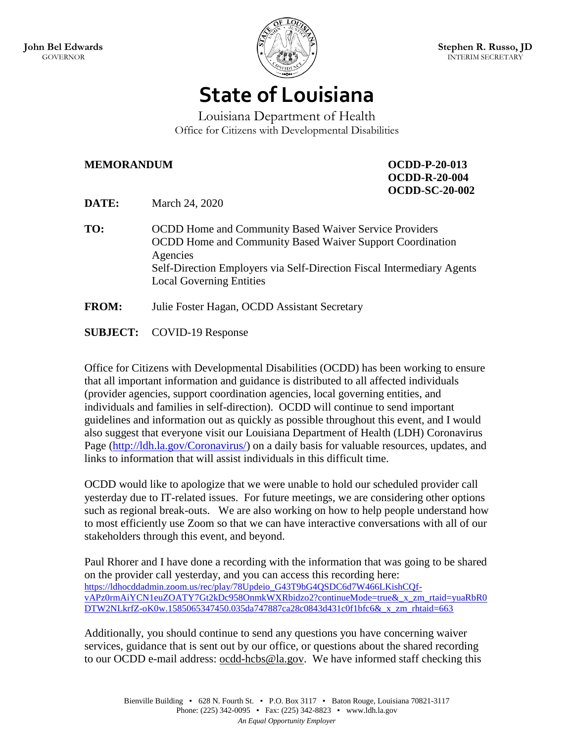

## **State of Louisiana**

Louisiana Department of Health Office for Citizens with Developmental Disabilities

## **MEMORANDUM OCDD-P-20-013**

**OCDD-R-20-004 OCDD-SC-20-002**

**DATE:** March 24, 2020

- **TO:** OCDD Home and Community Based Waiver Service Providers OCDD Home and Community Based Waiver Support Coordination Agencies Self-Direction Employers via Self-Direction Fiscal Intermediary Agents Local Governing Entities
- **FROM:** Julie Foster Hagan, OCDD Assistant Secretary
- **SUBJECT:** COVID-19 Response

Office for Citizens with Developmental Disabilities (OCDD) has been working to ensure that all important information and guidance is distributed to all affected individuals (provider agencies, support coordination agencies, local governing entities, and individuals and families in self-direction). OCDD will continue to send important guidelines and information out as quickly as possible throughout this event, and I would also suggest that everyone visit our Louisiana Department of Health (LDH) Coronavirus Page [\(http://ldh.la.gov/Coronavirus/\)](http://ldh.la.gov/Coronavirus/) on a daily basis for valuable resources, updates, and links to information that will assist individuals in this difficult time.

OCDD would like to apologize that we were unable to hold our scheduled provider call yesterday due to IT-related issues. For future meetings, we are considering other options such as regional break-outs. We are also working on how to help people understand how to most efficiently use Zoom so that we can have interactive conversations with all of our stakeholders through this event, and beyond.

Paul Rhorer and I have done a recording with the information that was going to be shared on the provider call yesterday, and you can access this recording here: [https://ldhocddadmin.zoom.us/rec/play/78Updeio\\_G43T9bG4QSDC6d7W466LKishCQf](https://ldhocddadmin.zoom.us/rec/play/78Updeio_G43T9bG4QSDC6d7W466LKishCQf-vAPz0rmAiYCN1euZOATY7Gt2kDc958OnmkWXRbidzo2?continueMode=true&_x_zm_rtaid=yuaRbR0DTW2NLkrfZ-oK0w.1585065347450.035da747887ca28c0843d431c0f1bfc6&_x_zm_rhtaid=663)[vAPz0rmAiYCN1euZOATY7Gt2kDc958OnmkWXRbidzo2?continueMode=true&\\_x\\_zm\\_rtaid=yuaRbR0](https://ldhocddadmin.zoom.us/rec/play/78Updeio_G43T9bG4QSDC6d7W466LKishCQf-vAPz0rmAiYCN1euZOATY7Gt2kDc958OnmkWXRbidzo2?continueMode=true&_x_zm_rtaid=yuaRbR0DTW2NLkrfZ-oK0w.1585065347450.035da747887ca28c0843d431c0f1bfc6&_x_zm_rhtaid=663) [DTW2NLkrfZ-oK0w.1585065347450.035da747887ca28c0843d431c0f1bfc6&\\_x\\_zm\\_rhtaid=663](https://ldhocddadmin.zoom.us/rec/play/78Updeio_G43T9bG4QSDC6d7W466LKishCQf-vAPz0rmAiYCN1euZOATY7Gt2kDc958OnmkWXRbidzo2?continueMode=true&_x_zm_rtaid=yuaRbR0DTW2NLkrfZ-oK0w.1585065347450.035da747887ca28c0843d431c0f1bfc6&_x_zm_rhtaid=663)

Additionally, you should continue to send any questions you have concerning waiver services, guidance that is sent out by our office, or questions about the shared recording to our OCDD e-mail address: [ocdd-hcbs@la.gov.](mailto:ocdd-hcbs@la.gov) We have informed staff checking this